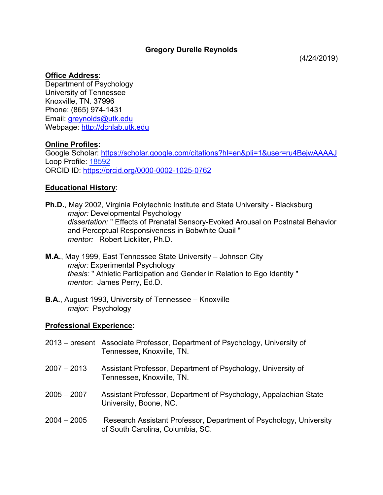# **Gregory Durelle Reynolds**

## **Office Address**:

Department of Psychology University of Tennessee Knoxville, TN. 37996 Phone: (865) 974-1431 Email: greynolds@utk.edu Webpage: http://dcnlab.utk.edu

## **Online Profiles:**

Google Scholar: https://scholar.google.com/citations?hl=en&pli=1&user=ru4BejwAAAAJ Loop Profile: 18592 ORCID ID: https://orcid.org/0000-0002-1025-0762

# **Educational History**:

**Ph.D.**, May 2002, Virginia Polytechnic Institute and State University - Blacksburg *major:* Developmental Psychology *dissertation:* " Effects of Prenatal Sensory-Evoked Arousal on Postnatal Behavior and Perceptual Responsiveness in Bobwhite Quail " *mentor:* Robert Lickliter, Ph.D.

- **M.A.**, May 1999, East Tennessee State University Johnson City *major:* Experimental Psychology *thesis:* " Athletic Participation and Gender in Relation to Ego Identity " *mentor*: James Perry, Ed.D.
- **B.A.**, August 1993, University of Tennessee Knoxville *major:* Psychology

## **Professional Experience:**

- 2013 present Associate Professor, Department of Psychology, University of Tennessee, Knoxville, TN.
- 2007 2013 Assistant Professor, Department of Psychology, University of Tennessee, Knoxville, TN.
- 2005 2007 Assistant Professor, Department of Psychology, Appalachian State University, Boone, NC.
- 2004 2005 Research Assistant Professor, Department of Psychology, University of South Carolina, Columbia, SC.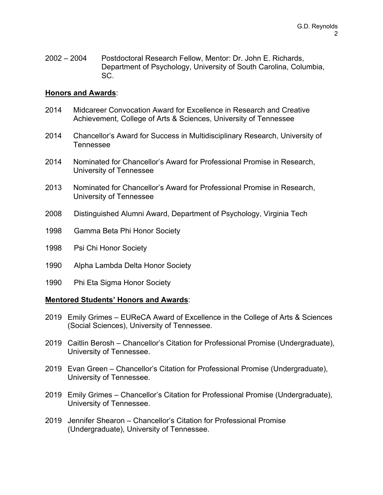2002 – 2004 Postdoctoral Research Fellow, Mentor: Dr. John E. Richards, Department of Psychology, University of South Carolina, Columbia, SC.

#### **Honors and Awards**:

- 2014 Midcareer Convocation Award for Excellence in Research and Creative Achievement, College of Arts & Sciences, University of Tennessee
- 2014 Chancellor's Award for Success in Multidisciplinary Research, University of Tennessee
- 2014 Nominated for Chancellor's Award for Professional Promise in Research, University of Tennessee
- 2013 Nominated for Chancellor's Award for Professional Promise in Research, University of Tennessee
- 2008 Distinguished Alumni Award, Department of Psychology, Virginia Tech
- 1998 Gamma Beta Phi Honor Society
- 1998 Psi Chi Honor Society
- 1990 Alpha Lambda Delta Honor Society
- 1990 Phi Eta Sigma Honor Society

#### **Mentored Students' Honors and Awards**:

- 2019 Emily Grimes EUReCA Award of Excellence in the College of Arts & Sciences (Social Sciences), University of Tennessee.
- 2019 Caitlin Berosh Chancellor's Citation for Professional Promise (Undergraduate), University of Tennessee.
- 2019 Evan Green Chancellor's Citation for Professional Promise (Undergraduate), University of Tennessee.
- 2019 Emily Grimes Chancellor's Citation for Professional Promise (Undergraduate), University of Tennessee.
- 2019 Jennifer Shearon Chancellor's Citation for Professional Promise (Undergraduate), University of Tennessee.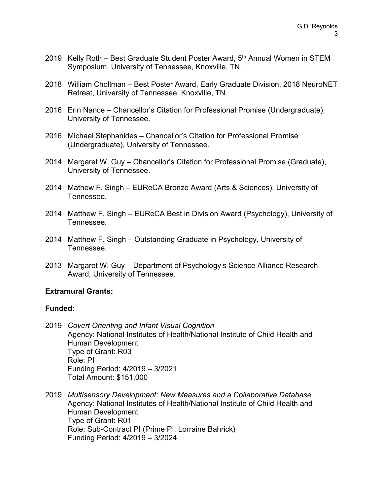- 2019 Kelly Roth Best Graduate Student Poster Award, 5<sup>th</sup> Annual Women in STEM Symposium, University of Tennessee, Knoxville, TN.
- 2018 William Chollman Best Poster Award, Early Graduate Division, 2018 NeuroNET Retreat, University of Tennessee, Knoxville, TN.
- 2016 Erin Nance Chancellor's Citation for Professional Promise (Undergraduate), University of Tennessee.
- 2016 Michael Stephanides Chancellor's Citation for Professional Promise (Undergraduate), University of Tennessee.
- 2014 Margaret W. Guy Chancellor's Citation for Professional Promise (Graduate), University of Tennessee.
- 2014 Mathew F. Singh EUReCA Bronze Award (Arts & Sciences), University of Tennessee.
- 2014 Matthew F. Singh EUReCA Best in Division Award (Psychology), University of Tennessee.
- 2014 Matthew F. Singh Outstanding Graduate in Psychology, University of Tennessee.
- 2013 Margaret W. Guy Department of Psychology's Science Alliance Research Award, University of Tennessee.

## **Extramural Grants:**

## **Funded:**

- 2019 *Covert Orienting and Infant Visual Cognition* Agency: National Institutes of Health/National Institute of Child Health and Human Development Type of Grant: R03 Role: PI Funding Period: 4/2019 – 3/2021 Total Amount: \$151,000
- 2019 *Multisensory Development: New Measures and a Collaborative Database* Agency: National Institutes of Health/National Institute of Child Health and Human Development Type of Grant: R01 Role: Sub-Contract PI (Prime PI: Lorraine Bahrick) Funding Period: 4/2019 – 3/2024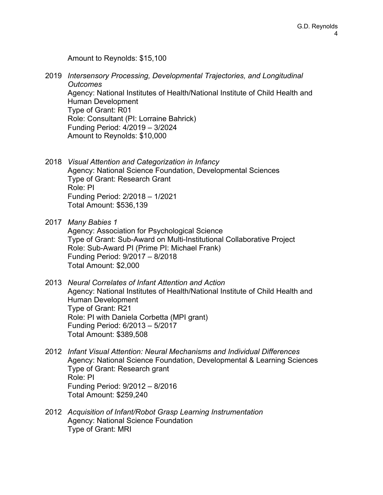Amount to Reynolds: \$15,100

- 2019 *Intersensory Processing, Developmental Trajectories, and Longitudinal Outcomes* Agency: National Institutes of Health/National Institute of Child Health and Human Development Type of Grant: R01 Role: Consultant (PI: Lorraine Bahrick) Funding Period: 4/2019 – 3/2024 Amount to Reynolds: \$10,000
- 2018 *Visual Attention and Categorization in Infancy* Agency: National Science Foundation, Developmental Sciences Type of Grant: Research Grant Role: PI Funding Period: 2/2018 – 1/2021 Total Amount: \$536,139
- 2017 *Many Babies 1* Agency: Association for Psychological Science Type of Grant: Sub-Award on Multi-Institutional Collaborative Project Role: Sub-Award PI (Prime PI: Michael Frank) Funding Period: 9/2017 – 8/2018 Total Amount: \$2,000
- 2013 *Neural Correlates of Infant Attention and Action* Agency: National Institutes of Health/National Institute of Child Health and Human Development Type of Grant: R21 Role: PI with Daniela Corbetta (MPI grant) Funding Period: 6/2013 – 5/2017 Total Amount: \$389,508
- 2012 *Infant Visual Attention: Neural Mechanisms and Individual Differences* Agency: National Science Foundation, Developmental & Learning Sciences Type of Grant: Research grant Role: PI Funding Period: 9/2012 – 8/2016 Total Amount: \$259,240
- 2012 *Acquisition of Infant/Robot Grasp Learning Instrumentation* Agency: National Science Foundation Type of Grant: MRI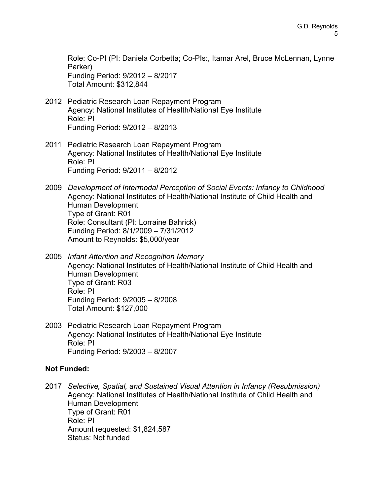Role: Co-PI (PI: Daniela Corbetta; Co-PIs:, Itamar Arel, Bruce McLennan, Lynne Parker) Funding Period: 9/2012 – 8/2017 Total Amount: \$312,844

- 2012 Pediatric Research Loan Repayment Program Agency: National Institutes of Health/National Eye Institute Role: PI Funding Period: 9/2012 – 8/2013
- 2011 Pediatric Research Loan Repayment Program Agency: National Institutes of Health/National Eye Institute Role: PI Funding Period: 9/2011 – 8/2012
- 2009 *Development of Intermodal Perception of Social Events: Infancy to Childhood* Agency: National Institutes of Health/National Institute of Child Health and Human Development Type of Grant: R01 Role: Consultant (PI: Lorraine Bahrick) Funding Period: 8/1/2009 – 7/31/2012 Amount to Reynolds: \$5,000/year
- 2005 *Infant Attention and Recognition Memory* Agency: National Institutes of Health/National Institute of Child Health and Human Development Type of Grant: R03 Role: PI Funding Period: 9/2005 – 8/2008 Total Amount: \$127,000
- 2003 Pediatric Research Loan Repayment Program Agency: National Institutes of Health/National Eye Institute Role: PI Funding Period: 9/2003 – 8/2007

## **Not Funded:**

2017 *Selective, Spatial, and Sustained Visual Attention in Infancy (Resubmission)* Agency: National Institutes of Health/National Institute of Child Health and Human Development Type of Grant: R01 Role: PI Amount requested: \$1,824,587 Status: Not funded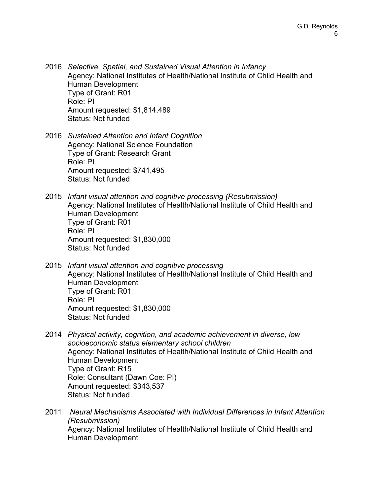- 2016 *Selective, Spatial, and Sustained Visual Attention in Infancy* Agency: National Institutes of Health/National Institute of Child Health and Human Development Type of Grant: R01 Role: PI Amount requested: \$1,814,489 Status: Not funded
- 2016 *Sustained Attention and Infant Cognition* Agency: National Science Foundation Type of Grant: Research Grant Role: PI Amount requested: \$741,495 Status: Not funded
- 2015 *Infant visual attention and cognitive processing (Resubmission)* Agency: National Institutes of Health/National Institute of Child Health and Human Development Type of Grant: R01 Role: PI Amount requested: \$1,830,000 Status: Not funded
- 2015 *Infant visual attention and cognitive processing* Agency: National Institutes of Health/National Institute of Child Health and Human Development Type of Grant: R01 Role: PI Amount requested: \$1,830,000 Status: Not funded
- 2014 *Physical activity, cognition, and academic achievement in diverse, low socioeconomic status elementary school children* Agency: National Institutes of Health/National Institute of Child Health and Human Development Type of Grant: R15 Role: Consultant (Dawn Coe: PI) Amount requested: \$343,537 Status: Not funded
- 2011 *Neural Mechanisms Associated with Individual Differences in Infant Attention (Resubmission)* Agency: National Institutes of Health/National Institute of Child Health and Human Development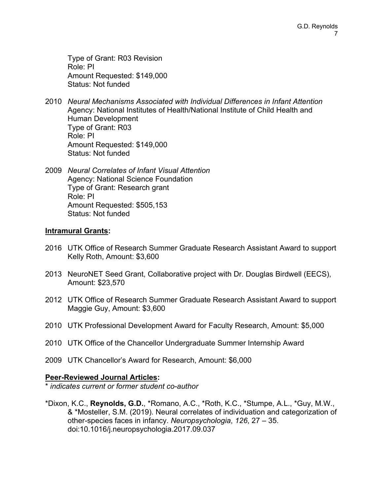Type of Grant: R03 Revision Role: PI Amount Requested: \$149,000 Status: Not funded

- 2010 *Neural Mechanisms Associated with Individual Differences in Infant Attention* Agency: National Institutes of Health/National Institute of Child Health and Human Development Type of Grant: R03 Role: PI Amount Requested: \$149,000 Status: Not funded
- 2009 *Neural Correlates of Infant Visual Attention* Agency: National Science Foundation Type of Grant: Research grant Role: PI Amount Requested: \$505,153 Status: Not funded

#### **Intramural Grants:**

- 2016 UTK Office of Research Summer Graduate Research Assistant Award to support Kelly Roth, Amount: \$3,600
- 2013 NeuroNET Seed Grant, Collaborative project with Dr. Douglas Birdwell (EECS), Amount: \$23,570
- 2012 UTK Office of Research Summer Graduate Research Assistant Award to support Maggie Guy, Amount: \$3,600
- 2010 UTK Professional Development Award for Faculty Research, Amount: \$5,000
- 2010 UTK Office of the Chancellor Undergraduate Summer Internship Award
- 2009 UTK Chancellor's Award for Research, Amount: \$6,000

## **Peer-Reviewed Journal Articles:**

\* *indicates current or former student co-author*

\*Dixon, K.C., **Reynolds, G.D.**, \*Romano, A.C., \*Roth, K.C., \*Stumpe, A.L., \*Guy, M.W., & \*Mosteller, S.M. (2019). Neural correlates of individuation and categorization of other-species faces in infancy. *Neuropsychologia*, *126*, 27 – 35. doi:10.1016/j.neuropsychologia.2017.09.037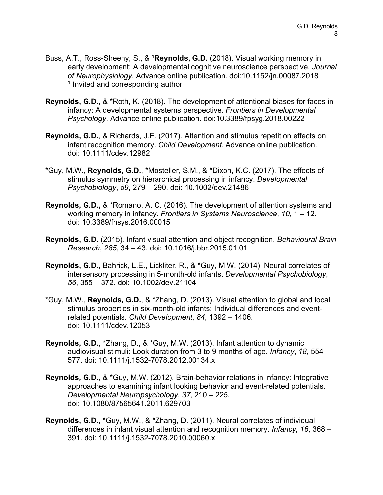- Buss, A.T., Ross-Sheehy, S., & **1Reynolds, G.D.** (2018). Visual working memory in early development: A developmental cognitive neuroscience perspective. *Journal of Neurophysiology.* Advance online publication. doi:10.1152/jn.00087.2018 **<sup>1</sup>** Invited and corresponding author
- **Reynolds, G.D.**, & \*Roth, K. (2018). The development of attentional biases for faces in infancy: A developmental systems perspective. *Frontiers in Developmental Psychology*. Advance online publication. doi:10.3389/fpsyg.2018.00222
- **Reynolds, G.D.**, & Richards, J.E. (2017). Attention and stimulus repetition effects on infant recognition memory. *Child Development*. Advance online publication. doi: 10.1111/cdev.12982
- \*Guy, M.W., **Reynolds, G.D.**, \*Mosteller, S.M., & \*Dixon, K.C. (2017). The effects of stimulus symmetry on hierarchical processing in infancy. *Developmental Psychobiology*, *59*, 279 – 290. doi: 10.1002/dev.21486
- **Reynolds, G.D.,** & \*Romano, A. C. (2016). The development of attention systems and working memory in infancy. *Frontiers in Systems Neuroscience*, *10*, 1 – 12. doi: 10.3389/fnsys.2016.00015
- **Reynolds, G.D.** (2015). Infant visual attention and object recognition. *Behavioural Brain Research*, *285*, 34 – 43. doi: 10.1016/j.bbr.2015.01.01
- **Reynolds, G.D.**, Bahrick, L.E., Lickliter, R., & \*Guy, M.W. (2014). Neural correlates of intersensory processing in 5-month-old infants. *Developmental Psychobiology*, *56*, 355 – 372. doi: 10.1002/dev.21104
- \*Guy, M.W., **Reynolds, G.D.**, & \*Zhang, D. (2013). Visual attention to global and local stimulus properties in six-month-old infants: Individual differences and eventrelated potentials. *Child Development*, *84*, 1392 – 1406. doi: 10.1111/cdev.12053
- **Reynolds, G.D.**, \*Zhang, D., & \*Guy, M.W. (2013). Infant attention to dynamic audiovisual stimuli: Look duration from 3 to 9 months of age. *Infancy*, *18*, 554 – 577. doi: 10.1111/j.1532-7078.2012.00134.x
- **Reynolds, G.D.**, & \*Guy, M.W. (2012). Brain-behavior relations in infancy: Integrative approaches to examining infant looking behavior and event-related potentials. *Developmental Neuropsychology*, *37*, 210 – 225. doi: 10.1080/87565641.2011.629703
- **Reynolds, G.D.**, \*Guy, M.W., & \*Zhang, D. (2011). Neural correlates of individual differences in infant visual attention and recognition memory. *Infancy*, *16*, 368 – 391. doi: 10.1111/j.1532-7078.2010.00060.x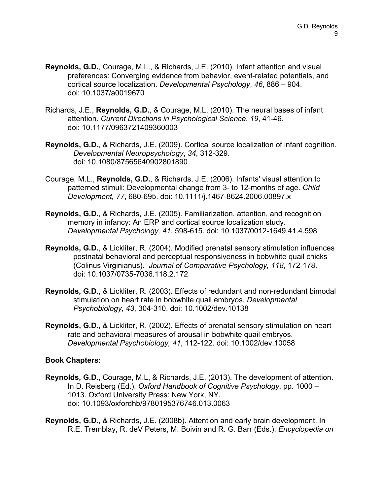- **Reynolds, G.D.**, Courage, M.L., & Richards, J.E. (2010). Infant attention and visual preferences: Converging evidence from behavior, event-related potentials, and cortical source localization. *Developmental Psychology*, *46*, 886 – 904. doi: 10.1037/a0019670
- Richards, J.E., **Reynolds, G.D.**, & Courage, M.L. (2010). The neural bases of infant attention. *Current Directions in Psychological Science*, *19*, 41-46. doi: 10.1177/0963721409360003
- **Reynolds, G.D.**, & Richards, J.E. (2009). Cortical source localization of infant cognition. *Developmental Neuropsychology*, *34*, 312-329. doi: 10.1080/87565640902801890
- Courage, M.L., **Reynolds, G.D.**, & Richards, J.E. (2006). Infants' visual attention to patterned stimuli: Developmental change from 3- to 12-months of age. *Child Development, 77*, 680-695. doi: 10.1111/j.1467-8624.2006.00897.x
- **Reynolds, G.D.**, & Richards, J.E. (2005). Familiarization, attention, and recognition memory in infancy: An ERP and cortical source localization study. *Developmental Psychology, 41*, 598-615. doi: 10.1037/0012-1649.41.4.598
- **Reynolds, G.D.**, & Lickliter, R. (2004). Modified prenatal sensory stimulation influences postnatal behavioral and perceptual responsiveness in bobwhite quail chicks (Colinus Virginianus). *Journal of Comparative Psychology, 118*, 172-178. doi: 10.1037/0735-7036.118.2.172
- **Reynolds, G.D.**, & Lickliter, R. (2003). Effects of redundant and non-redundant bimodal stimulation on heart rate in bobwhite quail embryos. *Developmental Psychobiology, 43*, 304-310. doi: 10.1002/dev.10138
- **Reynolds, G.D.**, & Lickliter, R. (2002). Effects of prenatal sensory stimulation on heart rate and behavioral measures of arousal in bobwhite quail embryos. *Developmental Psychobiology, 41*, 112-122. doi: 10.1002/dev.10058

## **Book Chapters:**

- **Reynolds, G.D.**, Courage, M.L, & Richards, J.E. (2013). The development of attention. In D. Reisberg (Ed.), *Oxford Handbook of Cognitive Psychology*, pp. 1000 – 1013. Oxford University Press: New York, NY. doi: 10.1093/oxfordhb/9780195376746.013.0063
- **Reynolds, G.D.**, & Richards, J.E. (2008b). Attention and early brain development. In R.E. Tremblay, R. deV Peters, M. Boivin and R. G. Barr (Eds.), *Encyclopedia on*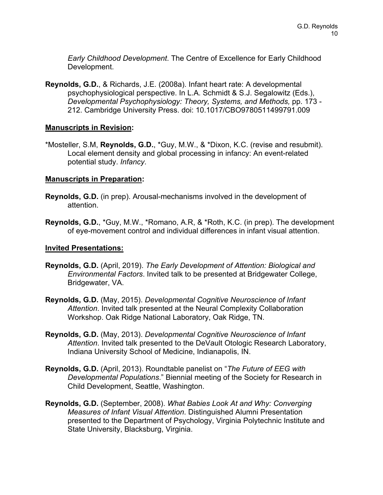*Early Childhood Development*. The Centre of Excellence for Early Childhood Development.

**Reynolds, G.D.**, & Richards, J.E. (2008a). Infant heart rate: A developmental psychophysiological perspective. In L.A. Schmidt & S.J. Segalowitz (Eds.), *Developmental Psychophysiology: Theory, Systems, and Methods,* pp. 173 - 212. Cambridge University Press. doi: 10.1017/CBO9780511499791.009

#### **Manuscripts in Revision:**

\*Mosteller, S.M, **Reynolds, G.D.**, \*Guy, M.W., & \*Dixon, K.C. (revise and resubmit). Local element density and global processing in infancy: An event-related potential study. *Infancy*.

#### **Manuscripts in Preparation:**

- **Reynolds, G.D.** (in prep). Arousal-mechanisms involved in the development of attention.
- **Reynolds, G.D.**, \*Guy, M.W., \*Romano, A.R, & \*Roth, K.C. (in prep). The development of eye-movement control and individual differences in infant visual attention.

#### **Invited Presentations:**

- **Reynolds, G.D.** (April, 2019). *The Early Development of Attention: Biological and Environmental Factors*. Invited talk to be presented at Bridgewater College, Bridgewater, VA.
- **Reynolds, G.D.** (May, 2015). *Developmental Cognitive Neuroscience of Infant Attention*. Invited talk presented at the Neural Complexity Collaboration Workshop. Oak Ridge National Laboratory, Oak Ridge, TN.
- **Reynolds, G.D.** (May, 2013). *Developmental Cognitive Neuroscience of Infant Attention*. Invited talk presented to the DeVault Otologic Research Laboratory, Indiana University School of Medicine, Indianapolis, IN.
- **Reynolds, G.D.** (April, 2013). Roundtable panelist on "*The Future of EEG with Developmental Populations*." Biennial meeting of the Society for Research in Child Development, Seattle, Washington.
- **Reynolds, G.D.** (September, 2008). *What Babies Look At and Why: Converging Measures of Infant Visual Attention*. Distinguished Alumni Presentation presented to the Department of Psychology, Virginia Polytechnic Institute and State University, Blacksburg, Virginia.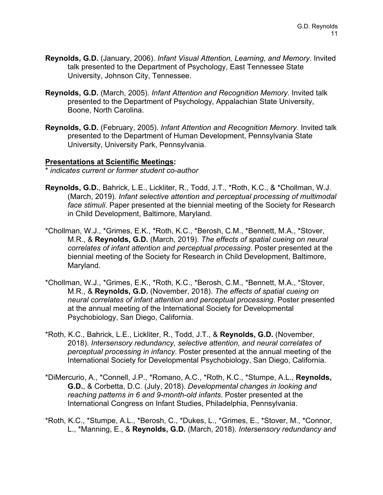- **Reynolds, G.D.** (January, 2006). *Infant Visual Attention, Learning, and Memory*. Invited talk presented to the Department of Psychology, East Tennessee State University, Johnson City, Tennessee.
- **Reynolds, G.D.** (March, 2005). *Infant Attention and Recognition Memory*. Invited talk presented to the Department of Psychology, Appalachian State University, Boone, North Carolina.
- **Reynolds, G.D.** (February, 2005). *Infant Attention and Recognition Memory*. Invited talk presented to the Department of Human Development, Pennsylvania State University, University Park, Pennsylvania.

## **Presentations at Scientific Meetings:**

\* *indicates current or former student co-author*

- **Reynolds, G.D.**, Bahrick, L.E., Lickliter, R., Todd, J.T., \*Roth, K.C., & \*Chollman, W.J. (March, 2019). *Infant selective attention and perceptual processing of multimodal face stimuli*. Paper presented at the biennial meeting of the Society for Research in Child Development, Baltimore, Maryland.
- \*Chollman, W.J., \*Grimes, E.K., \*Roth, K.C., \*Berosh, C.M., \*Bennett, M.A., \*Stover, M.R., & **Reynolds, G.D.** (March, 2019). *The effects of spatial cueing on neural correlates of infant attention and perceptual processing*. Poster presented at the biennial meeting of the Society for Research in Child Development, Baltimore, Maryland.
- \*Chollman, W.J., \*Grimes, E.K., \*Roth, K.C., \*Berosh, C.M., \*Bennett, M.A., \*Stover, M.R., & **Reynolds, G.D.** (November, 2018). *The effects of spatial cueing on neural correlates of infant attention and perceptual processing*. Poster presented at the annual meeting of the International Society for Developmental Psychobiology, San Diego, California.
- \*Roth, K.C., Bahrick, L.E., Lickliter, R., Todd, J.T., & **Reynolds, G.D.** (November, 2018). *Intersensory redundancy, selective attention, and neural correlates of perceptual processing in infancy*. Poster presented at the annual meeting of the International Society for Developmental Psychobiology, San Diego, California.
- \*DiMercurio, A., \*Connell, J.P., \*Romano, A.C., \*Roth, K.C., \*Stumpe, A.L., **Reynolds, G.D.**, & Corbetta, D.C. (July, 2018). *Developmental changes in looking and reaching patterns in 6 and 9-month-old infants*. Poster presented at the International Congress on Infant Studies, Philadelphia, Pennsylvania.
- \*Roth, K.C., \*Stumpe, A.L., \*Berosh, C., \*Dukes, L., \*Grimes, E., \*Stover, M., \*Connor, L., \*Manning, E., & **Reynolds, G.D.** (March, 2018). *Intersensory redundancy and*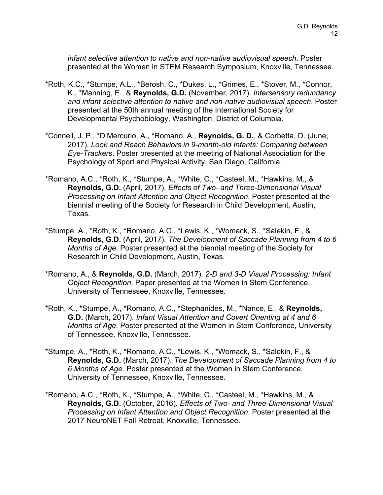*infant selective attention to native and non-native audiovisual speech*. Poster presented at the Women in STEM Research Symposium, Knoxville, Tennessee.

- \*Roth, K.C., \*Stumpe, A.L., \*Berosh, C., \*Dukes, L., \*Grimes, E., \*Stover, M., \*Connor, K., \*Manning, E., & **Reynolds, G.D.** (November, 2017). *Intersensory redundancy and infant selective attention to native and non-native audiovisual speech*. Poster presented at the 50th annual meeting of the International Society for Developmental Psychobiology, Washington, District of Columbia.
- \*Connell, J. P., \*DiMercurio, A., \*Romano, A., **Reynolds, G. D.**, & Corbetta, D. (June, 2017). *Look and Reach Behaviors in 9-month-old Infants: Comparing between Eye-Tracker*s. Poster presented at the meeting of National Association for the Psychology of Sport and Physical Activity, San Diego, California.
- \*Romano, A.C., \*Roth, K., \*Stumpe, A., \*White, C., \*Casteel, M., \*Hawkins, M., & **Reynolds, G.D.** (April, 2017). *Effects of Two- and Three-Dimensional Visual Processing on Infant Attention and Object Recognition*. Poster presented at the biennial meeting of the Society for Research in Child Development, Austin, Texas.
- \*Stumpe, A., \*Roth, K., \*Romano, A.C., \*Lewis, K., \*Womack, S., \*Salekin, F., & **Reynolds, G.D.** (April, 2017). *The Development of Saccade Planning from 4 to 6 Months of Age*. Poster presented at the biennial meeting of the Society for Research in Child Development, Austin, Texas.
- \*Romano, A., & **Reynolds, G.D.** (March, 2017). *2-D and 3-D Visual Processing: Infant Object Recognition*. Paper presented at the Women in Stem Conference, University of Tennessee, Knoxville, Tennessee.
- \*Roth, K., \*Stumpe, A., \*Romano, A.C., \*Stephanides, M., \*Nance, E., & **Reynolds, G.D.** (March, 2017). *Infant Visual Attention and Covert Orienting at 4 and 6 Months of Age.* Poster presented at the Women in Stem Conference, University of Tennessee, Knoxville, Tennessee.
- \*Stumpe, A., \*Roth, K., \*Romano, A.C., \*Lewis, K., \*Womack, S., \*Salekin, F., & **Reynolds, G.D.** (March, 2017). *The Development of Saccade Planning from 4 to 6 Months of Age*. Poster presented at the Women in Stem Conference, University of Tennessee, Knoxville, Tennessee.
- \*Romano, A.C., \*Roth, K., \*Stumpe, A., \*White, C., \*Casteel, M., \*Hawkins, M., & **Reynolds, G.D.** (October, 2016). *Effects of Two- and Three-Dimensional Visual Processing on Infant Attention and Object Recognition*. Poster presented at the 2017 NeuroNET Fall Retreat, Knoxville, Tennessee.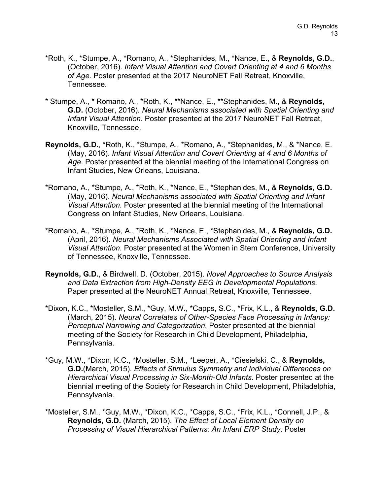- \*Roth, K., \*Stumpe, A., \*Romano, A., \*Stephanides, M., \*Nance, E., & **Reynolds, G.D.**, (October, 2016). *Infant Visual Attention and Covert Orienting at 4 and 6 Months of Age*. Poster presented at the 2017 NeuroNET Fall Retreat, Knoxville, Tennessee.
- \* Stumpe, A., \* Romano, A., \*Roth, K., \*\*Nance, E., \*\*Stephanides, M., & **Reynolds, G.D.** (October, 2016). *Neural Mechanisms associated with Spatial Orienting and Infant Visual Attention*. Poster presented at the 2017 NeuroNET Fall Retreat, Knoxville, Tennessee.
- **Reynolds, G.D.**, \*Roth, K., \*Stumpe, A., \*Romano, A., \*Stephanides, M., & \*Nance, E. (May, 2016). *Infant Visual Attention and Covert Orienting at 4 and 6 Months of Age*. Poster presented at the biennial meeting of the International Congress on Infant Studies, New Orleans, Louisiana.
- \*Romano, A., \*Stumpe, A., \*Roth, K., \*Nance, E., \*Stephanides, M., & **Reynolds, G.D.** (May, 2016). *Neural Mechanisms associated with Spatial Orienting and Infant Visual Attention*. Poster presented at the biennial meeting of the International Congress on Infant Studies, New Orleans, Louisiana.
- \*Romano, A., \*Stumpe, A., \*Roth, K., \*Nance, E., \*Stephanides, M., & **Reynolds, G.D.** (April, 2016). *Neural Mechanisms Associated with Spatial Orienting and Infant Visual Attention*. Poster presented at the Women in Stem Conference, University of Tennessee, Knoxville, Tennessee.
- **Reynolds, G.D.**, & Birdwell, D. (October, 2015). *Novel Approaches to Source Analysis and Data Extraction from High-Density EEG in Developmental Populations*. Paper presented at the NeuroNET Annual Retreat, Knoxville, Tennessee.
- \*Dixon, K.C., \*Mosteller, S.M., \*Guy, M.W., \*Capps, S.C., \*Frix, K.L., & **Reynolds, G.D.** (March, 2015). *Neural Correlates of Other-Species Face Processing in Infancy: Perceptual Narrowing and Categorization*. Poster presented at the biennial meeting of the Society for Research in Child Development, Philadelphia, Pennsylvania.
- \*Guy, M.W., \*Dixon, K.C., \*Mosteller, S.M., \*Leeper, A., \*Ciesielski, C., & **Reynolds, G.D.**(March, 2015). *Effects of Stimulus Symmetry and Individual Differences on Hierarchical Visual Processing in Six-Month-Old Infants.* Poster presented at the biennial meeting of the Society for Research in Child Development, Philadelphia, Pennsylvania.
- \*Mosteller, S.M., \*Guy, M.W., \*Dixon, K.C., \*Capps, S.C., \*Frix, K.L., \*Connell, J.P., & **Reynolds, G.D.** (March, 2015). *The Effect of Local Element Density on Processing of Visual Hierarchical Patterns: An Infant ERP Study*. Poster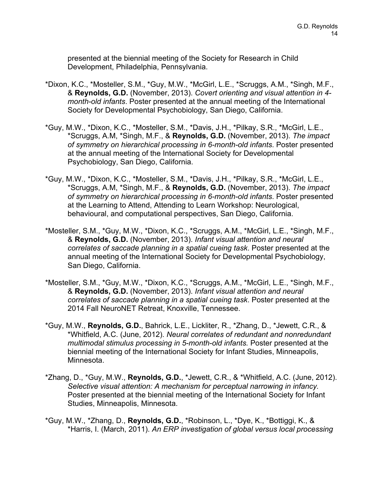presented at the biennial meeting of the Society for Research in Child Development, Philadelphia, Pennsylvania.

- \*Dixon, K.C., \*Mosteller, S.M., \*Guy, M.W., \*McGirl, L.E., \*Scruggs, A.M., \*Singh, M.F., & **Reynolds, G.D.** (November, 2013). *Covert orienting and visual attention in 4 month-old infants*. Poster presented at the annual meeting of the International Society for Developmental Psychobiology, San Diego, California.
- \*Guy, M.W., \*Dixon, K.C., \*Mosteller, S.M., \*Davis, J.H., \*Pilkay, S.R., \*McGirl, L.E., \*Scruggs, A.M, \*Singh, M.F., & **Reynolds, G.D.** (November, 2013). *The impact of symmetry on hierarchical processing in 6-month-old infants*. Poster presented at the annual meeting of the International Society for Developmental Psychobiology, San Diego, California.
- \*Guy, M.W., \*Dixon, K.C., \*Mosteller, S.M., \*Davis, J.H., \*Pilkay, S.R., \*McGirl, L.E., \*Scruggs, A.M, \*Singh, M.F., & **Reynolds, G.D.** (November, 2013). *The impact of symmetry on hierarchical processing in 6-month-old infants*. Poster presented at the Learning to Attend, Attending to Learn Workshop: Neurological, behavioural, and computational perspectives, San Diego, California.
- \*Mosteller, S.M., \*Guy, M.W., \*Dixon, K.C., \*Scruggs, A.M., \*McGirl, L.E., \*Singh, M.F., & **Reynolds, G.D.** (November, 2013). *Infant visual attention and neural correlates of saccade planning in a spatial cueing task*. Poster presented at the annual meeting of the International Society for Developmental Psychobiology, San Diego, California.
- \*Mosteller, S.M., \*Guy, M.W., \*Dixon, K.C., \*Scruggs, A.M., \*McGirl, L.E., \*Singh, M.F., & **Reynolds, G.D.** (November, 2013). *Infant visual attention and neural correlates of saccade planning in a spatial cueing task*. Poster presented at the 2014 Fall NeuroNET Retreat, Knoxville, Tennessee.
- \*Guy, M.W., **Reynolds, G.D.**, Bahrick, L.E., Lickliter, R., \*Zhang, D., \*Jewett, C.R., & \*Whitfield, A.C. (June, 2012). *Neural correlates of redundant and nonredundant multimodal stimulus processing in 5-month-old infants.* Poster presented at the biennial meeting of the International Society for Infant Studies, Minneapolis, Minnesota.
- \*Zhang, D., \*Guy, M.W., **Reynolds, G.D.**, \*Jewett, C.R., & \*Whitfield, A.C. (June, 2012). *Selective visual attention: A mechanism for perceptual narrowing in infancy.*  Poster presented at the biennial meeting of the International Society for Infant Studies, Minneapolis, Minnesota.
- \*Guy, M.W., \*Zhang, D., **Reynolds, G.D.**, \*Robinson, L., \*Dye, K., \*Bottiggi, K., & \*Harris, I. (March, 2011). *An ERP investigation of global versus local processing*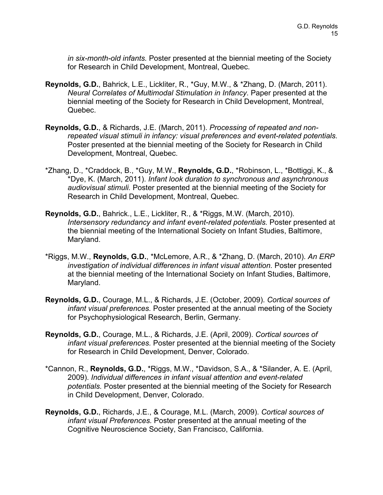*in six-month-old infants.* Poster presented at the biennial meeting of the Society for Research in Child Development, Montreal, Quebec.

- **Reynolds, G.D.**, Bahrick, L.E., Lickliter, R., \*Guy, M.W., & \*Zhang, D. (March, 2011). *Neural Correlates of Multimodal Stimulation in Infancy*. Paper presented at the biennial meeting of the Society for Research in Child Development, Montreal, Quebec.
- **Reynolds, G.D.**, & Richards, J.E. (March, 2011). *Processing of repeated and nonrepeated visual stimuli in infancy: visual preferences and event-related potentials.* Poster presented at the biennial meeting of the Society for Research in Child Development, Montreal, Quebec.
- \*Zhang, D., \*Craddock, B., \*Guy, M.W., **Reynolds, G.D.**, \*Robinson, L., \*Bottiggi, K., & \*Dye, K. (March, 2011). *Infant look duration to synchronous and asynchronous audiovisual stimuli.* Poster presented at the biennial meeting of the Society for Research in Child Development, Montreal, Quebec.
- **Reynolds, G.D.**, Bahrick., L.E., Lickliter, R., & \*Riggs, M.W. (March, 2010). *Intersensory redundancy and infant event-related potentials.* Poster presented at the biennial meeting of the International Society on Infant Studies, Baltimore, Maryland.
- \*Riggs, M.W., **Reynolds, G.D.**, \*McLemore, A.R., & \*Zhang, D. (March, 2010). *An ERP investigation of individual differences in infant visual attention.* Poster presented at the biennial meeting of the International Society on Infant Studies, Baltimore, Maryland.
- **Reynolds, G.D.**, Courage, M.L., & Richards, J.E. (October, 2009). *Cortical sources of infant visual preferences.* Poster presented at the annual meeting of the Society for Psychophysiological Research, Berlin, Germany.
- **Reynolds, G.D.**, Courage, M.L., & Richards, J.E. (April, 2009). *Cortical sources of infant visual preferences.* Poster presented at the biennial meeting of the Society for Research in Child Development, Denver, Colorado.
- \*Cannon, R., **Reynolds, G.D.**, \*Riggs, M.W., \*Davidson, S.A., & \*Silander, A. E. (April, 2009). *Individual differences in infant visual attention and event-related potentials.* Poster presented at the biennial meeting of the Society for Research in Child Development, Denver, Colorado.
- **Reynolds, G.D.**, Richards, J.E., & Courage, M.L. (March, 2009). *Cortical sources of infant visual Preferences.* Poster presented at the annual meeting of the Cognitive Neuroscience Society, San Francisco, California.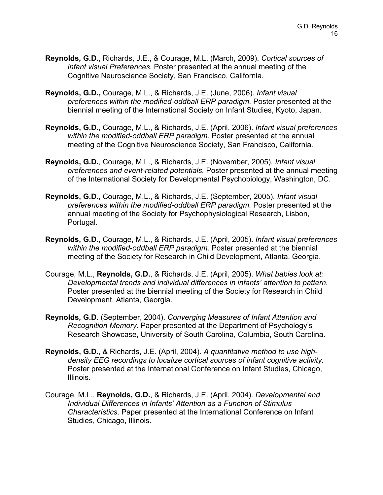- **Reynolds, G.D.**, Richards, J.E., & Courage, M.L. (March, 2009). *Cortical sources of infant visual Preferences.* Poster presented at the annual meeting of the Cognitive Neuroscience Society, San Francisco, California.
- **Reynolds, G.D.,** Courage, M.L., & Richards, J.E. (June, 2006). *Infant visual preferences within the modified-oddball ERP paradigm.* Poster presented at the biennial meeting of the International Society on Infant Studies, Kyoto, Japan.
- **Reynolds, G.D.**, Courage, M.L., & Richards, J.E. (April, 2006). *Infant visual preferences within the modified-oddball ERP paradigm.* Poster presented at the annual meeting of the Cognitive Neuroscience Society, San Francisco, California.
- **Reynolds, G.D.**, Courage, M.L., & Richards, J.E. (November, 2005). *Infant visual preferences and event-related potentials.* Poster presented at the annual meeting of the International Society for Developmental Psychobiology, Washington, DC.
- **Reynolds, G.D.**, Courage, M.L., & Richards, J.E. (September, 2005). *Infant visual preferences within the modified-oddball ERP paradigm.* Poster presented at the annual meeting of the Society for Psychophysiological Research, Lisbon, Portugal.
- **Reynolds, G.D.**, Courage, M.L., & Richards, J.E. (April, 2005). *Infant visual preferences within the modified-oddball ERP paradigm.* Poster presented at the biennial meeting of the Society for Research in Child Development, Atlanta, Georgia.
- Courage, M.L., **Reynolds, G.D.**, & Richards, J.E. (April, 2005). *What babies look at: Developmental trends and individual differences in infants' attention to pattern.* Poster presented at the biennial meeting of the Society for Research in Child Development, Atlanta, Georgia.
- **Reynolds, G.D.** (September, 2004). *Converging Measures of Infant Attention and Recognition Memory*. Paper presented at the Department of Psychology's Research Showcase, University of South Carolina, Columbia, South Carolina.
- **Reynolds, G.D.**, & Richards, J.E. (April, 2004). *A quantitative method to use highdensity EEG recordings to localize cortical sources of infant cognitive activity.* Poster presented at the International Conference on Infant Studies, Chicago, Illinois.
- Courage, M.L., **Reynolds, G.D.**, & Richards, J.E. (April, 2004). *Developmental and Individual Differences in Infants' Attention as a Function of Stimulus Characteristics*. Paper presented at the International Conference on Infant Studies, Chicago, Illinois.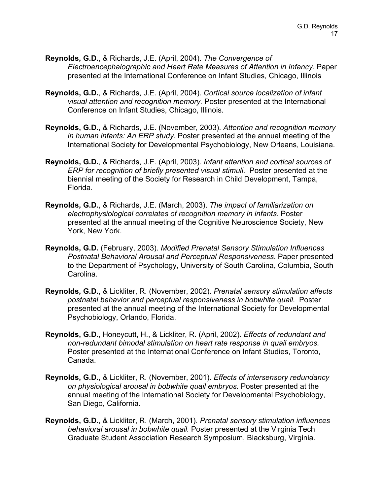- **Reynolds, G.D.**, & Richards, J.E. (April, 2004). *The Convergence of Electroencephalographic and Heart Rate Measures of Attention in Infancy*. Paper presented at the International Conference on Infant Studies, Chicago, Illinois
- **Reynolds, G.D.**, & Richards, J.E. (April, 2004). *Cortical source localization of infant visual attention and recognition memory.* Poster presented at the International Conference on Infant Studies, Chicago, Illinois.
- **Reynolds, G.D.**, & Richards, J.E. (November, 2003). *Attention and recognition memory in human infants: An ERP study.* Poster presented at the annual meeting of the International Society for Developmental Psychobiology, New Orleans, Louisiana.
- **Reynolds, G.D.**, & Richards, J.E. (April, 2003). *Infant attention and cortical sources of ERP for recognition of briefly presented visual stimuli.* Poster presented at the biennial meeting of the Society for Research in Child Development, Tampa, Florida.
- **Reynolds, G.D.**, & Richards, J.E. (March, 2003). *The impact of familiarization on electrophysiological correlates of recognition memory in infants.* Poster presented at the annual meeting of the Cognitive Neuroscience Society, New York, New York.
- **Reynolds, G.D.** (February, 2003). *Modified Prenatal Sensory Stimulation Influences Postnatal Behavioral Arousal and Perceptual Responsiveness*. Paper presented to the Department of Psychology, University of South Carolina, Columbia, South Carolina.
- **Reynolds, G.D.**, & Lickliter, R. (November, 2002). *Prenatal sensory stimulation affects postnatal behavior and perceptual responsiveness in bobwhite quail.* Poster presented at the annual meeting of the International Society for Developmental Psychobiology, Orlando, Florida.
- **Reynolds, G.D.**, Honeycutt, H., & Lickliter, R. (April, 2002). *Effects of redundant and non-redundant bimodal stimulation on heart rate response in quail embryos.* Poster presented at the International Conference on Infant Studies, Toronto, Canada.
- **Reynolds, G.D.**, & Lickliter, R. (November, 2001). *Effects of intersensory redundancy on physiological arousal in bobwhite quail embryos.* Poster presented at the annual meeting of the International Society for Developmental Psychobiology, San Diego, California.
- **Reynolds, G.D.**, & Lickliter, R. (March, 2001). *Prenatal sensory stimulation influences behavioral arousal in bobwhite quail.* Poster presented at the Virginia Tech Graduate Student Association Research Symposium, Blacksburg, Virginia.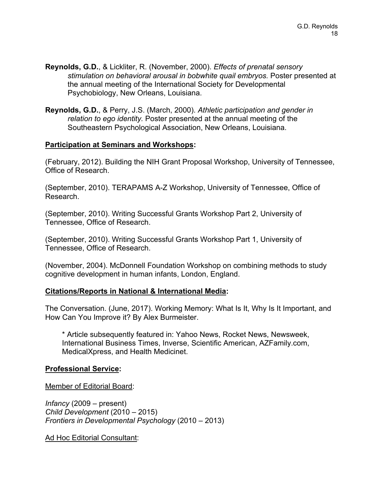- **Reynolds, G.D.**, & Lickliter, R. (November, 2000). *Effects of prenatal sensory stimulation on behavioral arousal in bobwhite quail embryos.* Poster presented at the annual meeting of the International Society for Developmental Psychobiology, New Orleans, Louisiana.
- **Reynolds, G.D.**, & Perry, J.S. (March, 2000). *Athletic participation and gender in relation to ego identity.* Poster presented at the annual meeting of the Southeastern Psychological Association, New Orleans, Louisiana.

#### **Participation at Seminars and Workshops:**

(February, 2012). Building the NIH Grant Proposal Workshop, University of Tennessee, Office of Research.

(September, 2010). TERAPAMS A-Z Workshop, University of Tennessee, Office of Research.

(September, 2010). Writing Successful Grants Workshop Part 2, University of Tennessee, Office of Research.

(September, 2010). Writing Successful Grants Workshop Part 1, University of Tennessee, Office of Research.

(November, 2004). McDonnell Foundation Workshop on combining methods to study cognitive development in human infants, London, England.

## **Citations/Reports in National & International Media:**

The Conversation. (June, 2017). Working Memory: What Is It, Why Is It Important, and How Can You Improve it? By Alex Burmeister.

\* Article subsequently featured in: Yahoo News, Rocket News, Newsweek, International Business Times, Inverse, Scientific American, AZFamily.com, MedicalXpress, and Health Medicinet.

#### **Professional Service:**

Member of Editorial Board:

*Infancy* (2009 – present) *Child Development* (2010 – 2015) *Frontiers in Developmental Psychology* (2010 – 2013)

Ad Hoc Editorial Consultant: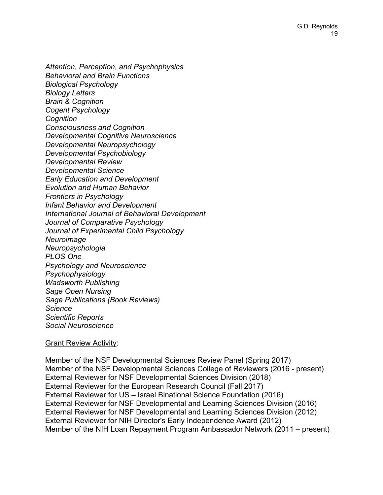*Attention, Perception, and Psychophysics Behavioral and Brain Functions Biological Psychology Biology Letters Brain & Cognition Cogent Psychology Cognition Consciousness and Cognition Developmental Cognitive Neuroscience Developmental Neuropsychology Developmental Psychobiology Developmental Review Developmental Science Early Education and Development Evolution and Human Behavior Frontiers in Psychology Infant Behavior and Development International Journal of Behavioral Development Journal of Comparative Psychology Journal of Experimental Child Psychology Neuroimage Neuropsychologia PLOS One Psychology and Neuroscience Psychophysiology Wadsworth Publishing Sage Open Nursing Sage Publications (Book Reviews) Science Scientific Reports Social Neuroscience*

#### Grant Review Activity:

Member of the NSF Developmental Sciences Review Panel (Spring 2017) Member of the NSF Developmental Sciences College of Reviewers (2016 - present) External Reviewer for NSF Developmental Sciences Division (2018) External Reviewer for the European Research Council (Fall 2017) External Reviewer for US – Israel Binational Science Foundation (2016) External Reviewer for NSF Developmental and Learning Sciences Division (2016) External Reviewer for NSF Developmental and Learning Sciences Division (2012) External Reviewer for NIH Director's Early Independence Award (2012) Member of the NIH Loan Repayment Program Ambassador Network (2011 – present)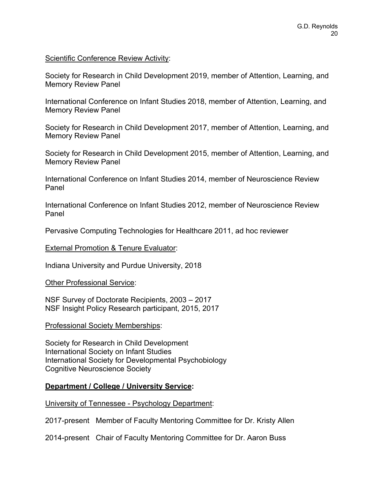#### Scientific Conference Review Activity:

Society for Research in Child Development 2019, member of Attention, Learning, and Memory Review Panel

International Conference on Infant Studies 2018, member of Attention, Learning, and Memory Review Panel

Society for Research in Child Development 2017, member of Attention, Learning, and Memory Review Panel

Society for Research in Child Development 2015, member of Attention, Learning, and Memory Review Panel

International Conference on Infant Studies 2014, member of Neuroscience Review Panel

International Conference on Infant Studies 2012, member of Neuroscience Review Panel

Pervasive Computing Technologies for Healthcare 2011, ad hoc reviewer

External Promotion & Tenure Evaluator:

Indiana University and Purdue University, 2018

Other Professional Service:

NSF Survey of Doctorate Recipients, 2003 – 2017 NSF Insight Policy Research participant, 2015, 2017

Professional Society Memberships:

Society for Research in Child Development International Society on Infant Studies International Society for Developmental Psychobiology Cognitive Neuroscience Society

## **Department / College / University Service:**

University of Tennessee - Psychology Department:

2017-present Member of Faculty Mentoring Committee for Dr. Kristy Allen

2014-present Chair of Faculty Mentoring Committee for Dr. Aaron Buss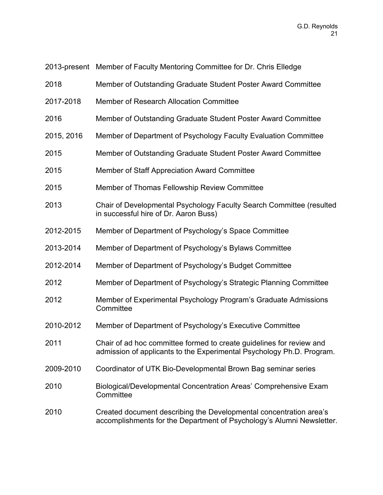2013-present Member of Faculty Mentoring Committee for Dr. Chris Elledge

- 2018 Member of Outstanding Graduate Student Poster Award Committee
- 2017-2018 Member of Research Allocation Committee
- 2016 Member of Outstanding Graduate Student Poster Award Committee
- 2015, 2016 Member of Department of Psychology Faculty Evaluation Committee
- 2015 Member of Outstanding Graduate Student Poster Award Committee
- 2015 Member of Staff Appreciation Award Committee
- 2015 Member of Thomas Fellowship Review Committee
- 2013 Chair of Developmental Psychology Faculty Search Committee (resulted in successful hire of Dr. Aaron Buss)
- 2012-2015 Member of Department of Psychology's Space Committee
- 2013-2014 Member of Department of Psychology's Bylaws Committee
- 2012-2014 Member of Department of Psychology's Budget Committee
- 2012 Member of Department of Psychology's Strategic Planning Committee
- 2012 Member of Experimental Psychology Program's Graduate Admissions **Committee**
- 2010-2012 Member of Department of Psychology's Executive Committee
- 2011 Chair of ad hoc committee formed to create guidelines for review and admission of applicants to the Experimental Psychology Ph.D. Program.
- 2009-2010 Coordinator of UTK Bio-Developmental Brown Bag seminar series
- 2010 Biological/Developmental Concentration Areas' Comprehensive Exam **Committee**
- 2010 Created document describing the Developmental concentration area's accomplishments for the Department of Psychology's Alumni Newsletter.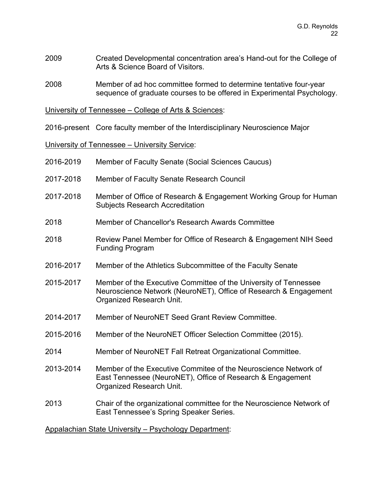- 2009 Created Developmental concentration area's Hand-out for the College of Arts & Science Board of Visitors.
- 2008 Member of ad hoc committee formed to determine tentative four-year sequence of graduate courses to be offered in Experimental Psychology.

University of Tennessee – College of Arts & Sciences:

2016-present Core faculty member of the Interdisciplinary Neuroscience Major

University of Tennessee – University Service:

| 2016-2019                                             | Member of Faculty Senate (Social Sciences Caucus)                                                                                                                |
|-------------------------------------------------------|------------------------------------------------------------------------------------------------------------------------------------------------------------------|
| 2017-2018                                             | Member of Faculty Senate Research Council                                                                                                                        |
| 2017-2018                                             | Member of Office of Research & Engagement Working Group for Human<br><b>Subjects Research Accreditation</b>                                                      |
| 2018                                                  | Member of Chancellor's Research Awards Committee                                                                                                                 |
| 2018                                                  | Review Panel Member for Office of Research & Engagement NIH Seed<br><b>Funding Program</b>                                                                       |
| 2016-2017                                             | Member of the Athletics Subcommittee of the Faculty Senate                                                                                                       |
| 2015-2017                                             | Member of the Executive Committee of the University of Tennessee<br>Neuroscience Network (NeuroNET), Office of Research & Engagement<br>Organized Research Unit. |
| 2014-2017                                             | Member of NeuroNET Seed Grant Review Committee.                                                                                                                  |
| 2015-2016                                             | Member of the NeuroNET Officer Selection Committee (2015).                                                                                                       |
| 2014                                                  | Member of NeuroNET Fall Retreat Organizational Committee.                                                                                                        |
| 2013-2014                                             | Member of the Executive Commitee of the Neuroscience Network of<br>East Tennessee (NeuroNET), Office of Research & Engagement<br>Organized Research Unit.        |
| 2013                                                  | Chair of the organizational committee for the Neuroscience Network of<br>East Tennessee's Spring Speaker Series.                                                 |
| Appalachian State University - Psychology Department: |                                                                                                                                                                  |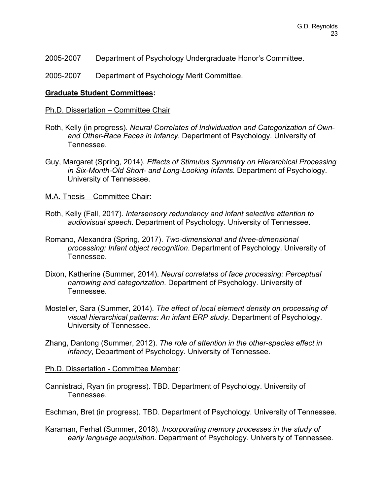2005-2007 Department of Psychology Undergraduate Honor's Committee.

2005-2007 Department of Psychology Merit Committee.

#### **Graduate Student Committees:**

#### Ph.D. Dissertation – Committee Chair

- Roth, Kelly (in progress). *Neural Correlates of Individuation and Categorization of Ownand Other-Race Faces in Infancy*. Department of Psychology. University of Tennessee.
- Guy, Margaret (Spring, 2014). *Effects of Stimulus Symmetry on Hierarchical Processing in Six-Month-Old Short- and Long-Looking Infants.* Department of Psychology. University of Tennessee.

#### M.A. Thesis – Committee Chair:

- Roth, Kelly (Fall, 2017). *Intersensory redundancy and infant selective attention to audiovisual speech*. Department of Psychology. University of Tennessee.
- Romano, Alexandra (Spring, 2017). *Two-dimensional and three-dimensional processing: Infant object recognition*. Department of Psychology. University of Tennessee.
- Dixon, Katherine (Summer, 2014). *Neural correlates of face processing: Perceptual narrowing and categorization*. Department of Psychology. University of Tennessee.
- Mosteller, Sara (Summer, 2014). *The effect of local element density on processing of visual hierarchical patterns: An infant ERP study*. Department of Psychology. University of Tennessee.
- Zhang, Dantong (Summer, 2012). *The role of attention in the other-species effect in infancy*, Department of Psychology. University of Tennessee.
- Ph.D. Dissertation Committee Member:
- Cannistraci, Ryan (in progress). TBD. Department of Psychology. University of Tennessee.

Eschman, Bret (in progress). TBD. Department of Psychology. University of Tennessee.

Karaman, Ferhat (Summer, 2018). *Incorporating memory processes in the study of early language acquisition*. Department of Psychology. University of Tennessee.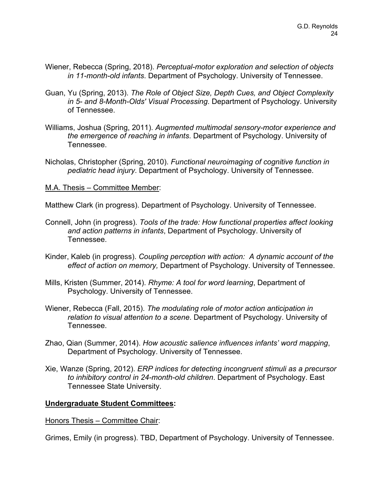- Wiener, Rebecca (Spring, 2018). *Perceptual-motor exploration and selection of objects in 11-month-old infants*. Department of Psychology. University of Tennessee.
- Guan, Yu (Spring, 2013). *The Role of Object Size, Depth Cues, and Object Complexity in 5- and 8-Month-Olds' Visual Processing*. Department of Psychology. University of Tennessee.
- Williams, Joshua (Spring, 2011). *Augmented multimodal sensory-motor experience and the emergence of reaching in infants*. Department of Psychology. University of Tennessee.
- Nicholas, Christopher (Spring, 2010). *Functional neuroimaging of cognitive function in pediatric head injury*. Department of Psychology. University of Tennessee.

#### M.A. Thesis – Committee Member:

Matthew Clark (in progress). Department of Psychology. University of Tennessee.

- Connell, John (in progress). *Tools of the trade: How functional properties affect looking and action patterns in infants*, Department of Psychology. University of Tennessee.
- Kinder, Kaleb (in progress). *Coupling perception with action: A dynamic account of the effect of action on memory,* Department of Psychology. University of Tennessee.
- Mills, Kristen (Summer, 2014). *Rhyme: A tool for word learning*, Department of Psychology. University of Tennessee.
- Wiener, Rebecca (Fall, 2015). *The modulating role of motor action anticipation in relation to visual attention to a scene*. Department of Psychology. University of Tennessee.
- Zhao, Qian (Summer, 2014). *How acoustic salience influences infants' word mapping*, Department of Psychology. University of Tennessee.
- Xie, Wanze (Spring, 2012). *ERP indices for detecting incongruent stimuli as a precursor to inhibitory control in 24-month-old children*. Department of Psychology. East Tennessee State University.

## **Undergraduate Student Committees:**

Honors Thesis – Committee Chair:

Grimes, Emily (in progress). TBD, Department of Psychology. University of Tennessee.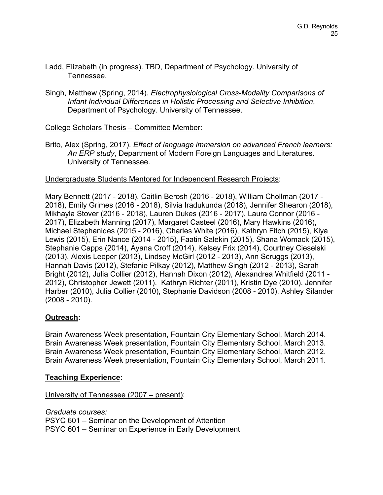- Ladd, Elizabeth (in progress). TBD, Department of Psychology. University of Tennessee.
- Singh, Matthew (Spring, 2014). *Electrophysiological Cross-Modality Comparisons of Infant Individual Differences in Holistic Processing and Selective Inhibition*, Department of Psychology. University of Tennessee.

# College Scholars Thesis – Committee Member:

Brito, Alex (Spring, 2017). *Effect of language immersion on advanced French learners: An ERP study*, Department of Modern Foreign Languages and Literatures. University of Tennessee.

## Undergraduate Students Mentored for Independent Research Projects:

Mary Bennett (2017 - 2018), Caitlin Berosh (2016 - 2018), William Chollman (2017 - 2018), Emily Grimes (2016 - 2018), Silvia Iradukunda (2018), Jennifer Shearon (2018), Mikhayla Stover (2016 - 2018), Lauren Dukes (2016 - 2017), Laura Connor (2016 - 2017), Elizabeth Manning (2017), Margaret Casteel (2016), Mary Hawkins (2016), Michael Stephanides (2015 - 2016), Charles White (2016), Kathryn Fitch (2015), Kiya Lewis (2015), Erin Nance (2014 - 2015), Faatin Salekin (2015), Shana Womack (2015), Stephanie Capps (2014), Ayana Croff (2014), Kelsey Frix (2014), Courtney Cieselski (2013), Alexis Leeper (2013), Lindsey McGirl (2012 - 2013), Ann Scruggs (2013), Hannah Davis (2012), Stefanie Pilkay (2012), Matthew Singh (2012 - 2013), Sarah Bright (2012), Julia Collier (2012), Hannah Dixon (2012), Alexandrea Whitfield (2011 - 2012), Christopher Jewett (2011), Kathryn Richter (2011), Kristin Dye (2010), Jennifer Harber (2010), Julia Collier (2010), Stephanie Davidson (2008 - 2010), Ashley Silander (2008 - 2010).

## **Outreach:**

Brain Awareness Week presentation, Fountain City Elementary School, March 2014. Brain Awareness Week presentation, Fountain City Elementary School, March 2013. Brain Awareness Week presentation, Fountain City Elementary School, March 2012. Brain Awareness Week presentation, Fountain City Elementary School, March 2011.

## **Teaching Experience:**

## University of Tennessee (2007 – present):

*Graduate courses:* PSYC 601 – Seminar on the Development of Attention PSYC 601 – Seminar on Experience in Early Development